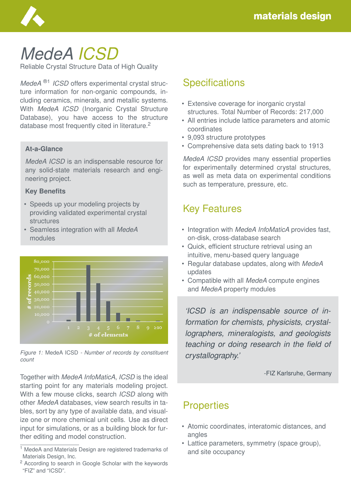

# *MedeA ICSD*

Reliable Crystal Structure Data of High Quality

*MedeA* ®1 *ICSD* offers experimental crystal structure information for non-organic compounds, including ceramics, minerals, and metallic systems. With *MedeA ICSD* (Inorganic Crystal Structure Database), you have access to the structure database most frequently cited in literature.<sup>2</sup>

#### **At-a-Glance**

*MedeA ICSD* is an indispensable resource for any solid-state materials research and engineering project.

#### **Key Benefits**

- Speeds up your modeling projects by providing validated experimental crystal structures
- Seamless integration with all *MedeA* modules



*Figure 1:* MedeA ICSD *- Number of records by constituent count*

Together with *MedeA InfoMaticA*, *ICSD* is the ideal starting point for any materials modeling project. With a few mouse clicks, search *ICSD* along with other *MedeA* databases, view search results in tables, sort by any type of available data, and visualize one or more chemical unit cells. Use as direct input for simulations, or as a building block for further editing and model construction.

# **Specifications**

- Extensive coverage for inorganic crystal structures. Total Number of Records: 217,000
- All entries include lattice parameters and atomic coordinates
- 9,093 structure prototypes
- Comprehensive data sets dating back to 1913

*MedeA ICSD* provides many essential properties for experimentally determined crystal structures, as well as meta data on experimental conditions such as temperature, pressure, etc.

# Key Features

- Integration with *MedeA InfoMaticA* provides fast, on-disk, cross-database search
- Quick, efficient structure retrieval using an intuitive, menu-based query language
- Regular database updates, along with *MedeA* updates
- Compatible with all *MedeA* compute engines and *MedeA* property modules

*'ICSD is an indispensable source of information for chemists, physicists, crystallographers, mineralogists, and geologists teaching or doing research in the field of crystallography.'*

-FIZ Karlsruhe, Germany

### **Properties**

- Atomic coordinates, interatomic distances, and angles
- Lattice parameters, symmetry (space group), and site occupancy

<sup>&</sup>lt;sup>1</sup> MedeA and Materials Design are registered trademarks of Materials Design, Inc.

<sup>2</sup> According to search in Google Scholar with the keywords "FIZ" and "ICSD".